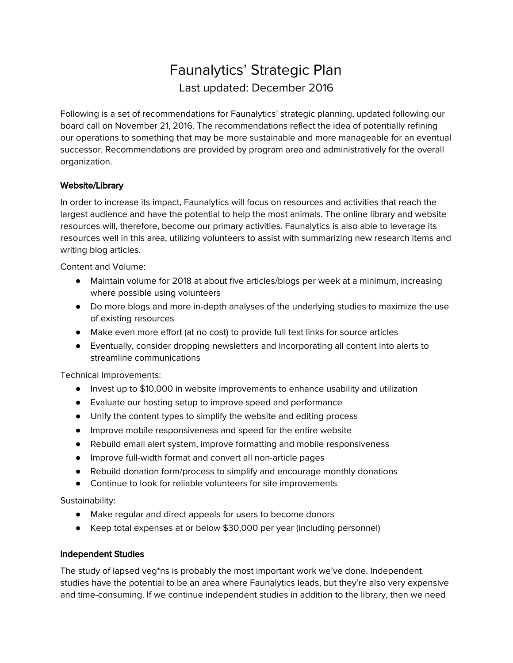# Faunalytics' Strategic Plan Last updated: December 2016

Following is a set of recommendations for Faunalytics' strategic planning, updated following our board call on November 21, 2016. The recommendations reflect the idea of potentially refining our operations to something that may be more sustainable and more manageable for an eventual successor. Recommendations are provided by program area and administratively for the overall organization.

## Website/Library

In order to increase its impact, Faunalytics will focus on resources and activities that reach the largest audience and have the potential to help the most animals. The online library and website resources will, therefore, become our primary activities. Faunalytics is also able to leverage its resources well in this area, utilizing volunteers to assist with summarizing new research items and writing blog articles.

Content and Volume:

- Maintain volume for 2018 at about five articles/blogs per week at a minimum, increasing where possible using volunteers
- Do more blogs and more in-depth analyses of the underlying studies to maximize the use of existing resources
- Make even more effort (at no cost) to provide full text links for source articles
- Eventually, consider dropping newsletters and incorporating all content into alerts to streamline communications

Technical Improvements:

- Invest up to \$10,000 in website improvements to enhance usability and utilization
- Evaluate our hosting setup to improve speed and performance
- Unify the content types to simplify the website and editing process
- Improve mobile responsiveness and speed for the entire website
- Rebuild email alert system, improve formatting and mobile responsiveness
- Improve full-width format and convert all non-article pages
- Rebuild donation form/process to simplify and encourage monthly donations
- Continue to look for reliable volunteers for site improvements

Sustainability:

- Make regular and direct appeals for users to become donors
- Keep total expenses at or below \$30,000 per year (including personnel)

### Independent Studies

The study of lapsed veg\*ns is probably the most important work we've done. Independent studies have the potential to be an area where Faunalytics leads, but they're also very expensive and time-consuming. If we continue independent studies in addition to the library, then we need